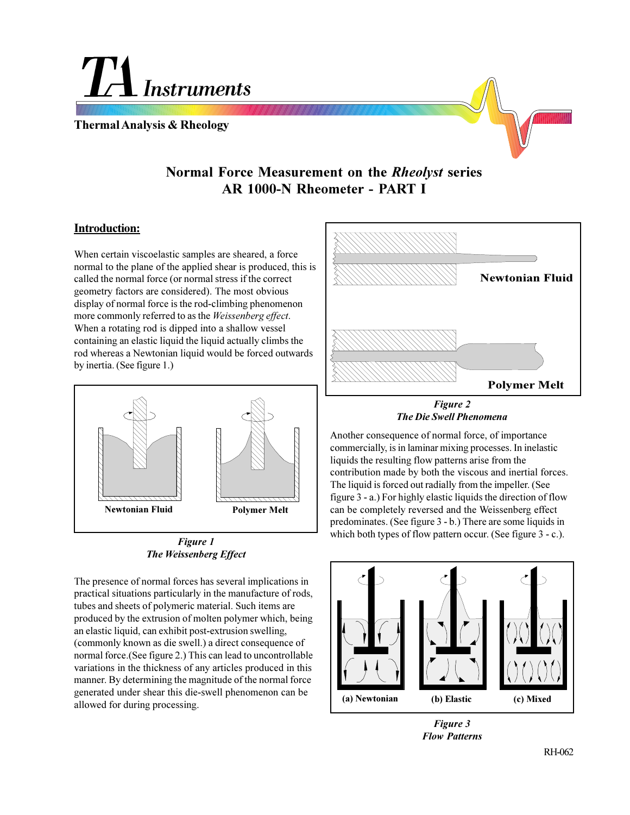**Instruments** 

**Thermal Analysis & Rheology**



# **Normal Force Measurement on the** *Rheolyst* **series AR 1000-N Rheometer - PART I**

# **Introduction:**

When certain viscoelastic samples are sheared, a force normal to the plane of the applied shear is produced, this is called the normal force (or normal stress if the correct geometry factors are considered). The most obvious display of normal force is the rod-climbing phenomenon more commonly referred to as the *Weissenberg effect*. When a rotating rod is dipped into a shallow vessel containing an elastic liquid the liquid actually climbs the rod whereas a Newtonian liquid would be forced outwards by inertia. (See figure 1.)



*Figure 1 The Weissenberg Effect*

The presence of normal forces has several implications in practical situations particularly in the manufacture of rods, tubes and sheets of polymeric material. Such items are produced by the extrusion of molten polymer which, being an elastic liquid, can exhibit post-extrusion swelling, (commonly known as die swell.) a direct consequence of normal force.(See figure 2.) This can lead to uncontrollable variations in the thickness of any articles produced in this manner. By determining the magnitude of the normal force generated under shear this die-swell phenomenon can be allowed for during processing.



*Figure 2 The Die Swell Phenomena*

Another consequence of normal force, of importance commercially, is in laminar mixing processes. In inelastic liquids the resulting flow patterns arise from the contribution made by both the viscous and inertial forces. The liquid is forced out radially from the impeller. (See figure 3 - a.) For highly elastic liquids the direction of flow can be completely reversed and the Weissenberg effect predominates. (See figure 3 - b.) There are some liquids in which both types of flow pattern occur. (See figure 3 - c.).



*Figure 3 Flow Patterns*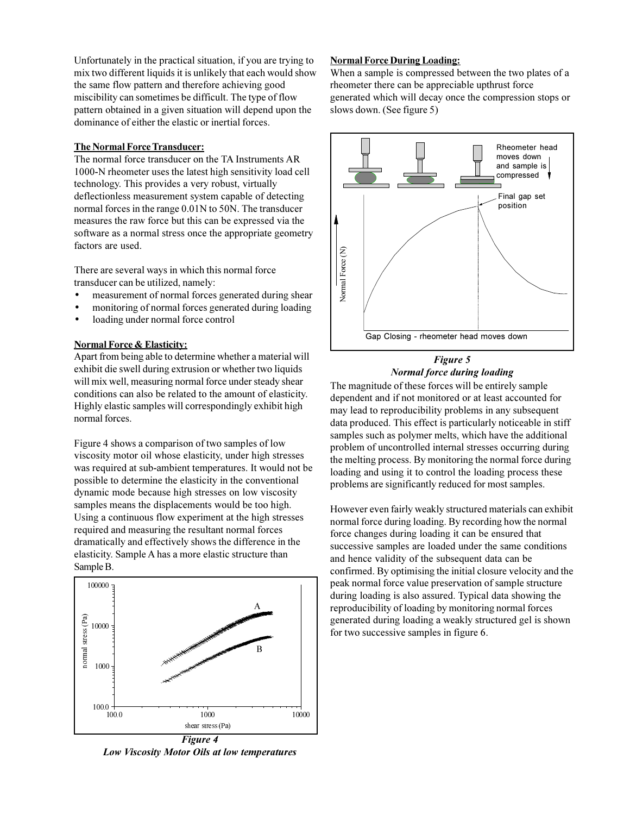Unfortunately in the practical situation, if you are trying to mix two different liquids it is unlikely that each would show the same flow pattern and therefore achieving good miscibility can sometimes be difficult. The type of flow pattern obtained in a given situation will depend upon the dominance of either the elastic or inertial forces.

## **The Normal Force Transducer:**

The normal force transducer on the TA Instruments AR 1000-N rheometer uses the latest high sensitivity load cell technology. This provides a very robust, virtually deflectionless measurement system capable of detecting normal forces in the range 0.01N to 50N. The transducer measures the raw force but this can be expressed via the software as a normal stress once the appropriate geometry factors are used.

There are several ways in which this normal force transducer can be utilized, namely:

- measurement of normal forces generated during shear
- monitoring of normal forces generated during loading
- loading under normal force control

## **Normal Force & Elasticity:**

Apart from being able to determine whether a material will exhibit die swell during extrusion or whether two liquids will mix well, measuring normal force under steady shear conditions can also be related to the amount of elasticity. Highly elastic samples will correspondingly exhibit high normal forces.

Figure 4 shows a comparison of two samples of low viscosity motor oil whose elasticity, under high stresses was required at sub-ambient temperatures. It would not be possible to determine the elasticity in the conventional dynamic mode because high stresses on low viscosity samples means the displacements would be too high. Using a continuous flow experiment at the high stresses required and measuring the resultant normal forces dramatically and effectively shows the difference in the elasticity. Sample A has a more elastic structure than Sample B.



*Low Viscosity Motor Oils at low temperatures*

#### **Normal Force During Loading:**

When a sample is compressed between the two plates of a rheometer there can be appreciable upthrust force generated which will decay once the compression stops or slows down. (See figure 5)



#### *Figure 5 Normal force during loading*

The magnitude of these forces will be entirely sample dependent and if not monitored or at least accounted for may lead to reproducibility problems in any subsequent data produced. This effect is particularly noticeable in stiff samples such as polymer melts, which have the additional problem of uncontrolled internal stresses occurring during the melting process. By monitoring the normal force during loading and using it to control the loading process these problems are significantly reduced for most samples.

However even fairly weakly structured materials can exhibit normal force during loading. By recording how the normal force changes during loading it can be ensured that successive samples are loaded under the same conditions and hence validity of the subsequent data can be confirmed. By optimising the initial closure velocity and the peak normal force value preservation of sample structure during loading is also assured. Typical data showing the reproducibility of loading by monitoring normal forces generated during loading a weakly structured gel is shown for two successive samples in figure 6.